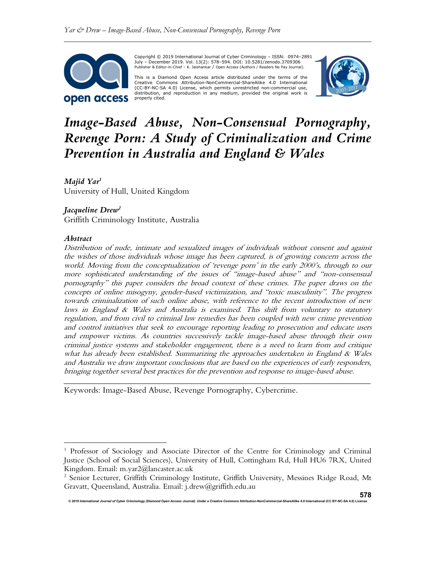

Copyright © 2019 International Journal of Cyber Criminology – ISSN: 0974–2891 July – December 2019. Vol. 13(2): 578–594. DOI: 10.5281/zenodo.3709306 Publisher & Editor-in-Chief – K. Jaishankar / Open Access (Authors / Readers No Pay Journal).

This is a Diamond Open Access article distributed under the terms of the Creative Commons Attribution-NonCommercial-ShareAlike 4.0 International (CC-BY-NC-SA 4.0) License, which permits unrestricted non-commercial use, distribution, and reproduction in any medium, provided the original work is properly cited.



# Image-Based Abuse, Non-Consensual Pornography, Revenge Porn: A Study of Criminalization and Crime Prevention in Australia and England & Wales

Majid Yar<sup>1</sup> University of Hull, United Kingdom

# Jacqueline  $Drew^2$

Griffith Criminology Institute, Australia

## Abstract

Distribution of nude, intimate and sexualized images of individuals without consent and against the wishes of those individuals whose image has been captured, is of growing concern across the world. Moving from the conceptualization of 'revenge porn' in the early 2000's, through to our more sophisticated understanding of the issues of "image-based abuse" and "non-consensual pornography" this paper considers the broad context of these crimes. The paper draws on the concepts of online misogyny, gender-based victimization, and "toxic masculinity". The progress towards criminalization of such online abuse, with reference to the recent introduction of new laws in England & Wales and Australia is examined. This shift from voluntary to statutory regulation, and from civil to criminal law remedies has been coupled with new crime prevention and control initiatives that seek to encourage reporting leading to prosecution and educate users and empower victims. As countries successively tackle image-based abuse through their own criminal justice systems and stakeholder engagement, there is a need to learn from and critique what has already been established. Summarizing the approaches undertaken in England  $\&$  Wales and Australia we draw important conclusions that are based on the experiences of early responders, bringing together several best practices for the prevention and response to image-based abuse.

\_\_\_\_\_\_\_\_\_\_\_\_\_\_\_\_\_\_\_\_\_\_\_\_\_\_\_\_\_\_\_\_\_\_\_\_\_\_\_\_\_\_\_\_\_\_\_\_\_\_\_\_\_\_\_\_\_\_\_\_\_\_\_\_\_\_\_\_\_\_\_\_

Keywords: Image-Based Abuse, Revenge Pornography, Cybercrime.

<sup>&</sup>lt;sup>1</sup> Professor of Sociology and Associate Director of the Centre for Criminology and Criminal Justice (School of Social Sciences), University of Hull, Cottingham Rd, Hull HU6 7RX, United Kingdom. Email: m.yar2@lancaster.ac.uk

<sup>&</sup>lt;sup>2</sup> Senior Lecturer, Griffith Criminology Institute, Griffith University, Messines Ridge Road, Mt Gravatt, Queensland, Australia. Email: j.drew@griffith.edu.au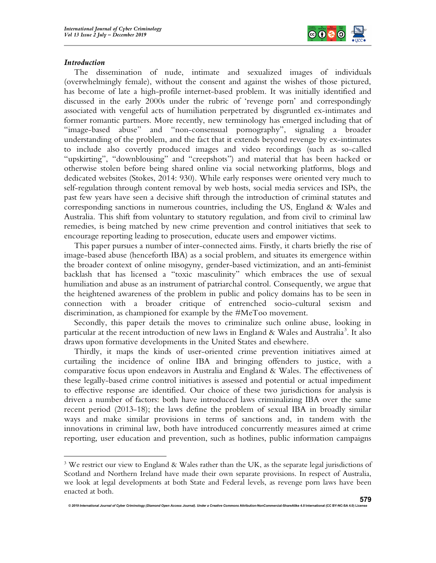

## Introduction

The dissemination of nude, intimate and sexualized images of individuals (overwhelmingly female), without the consent and against the wishes of those pictured, has become of late a high-profile internet-based problem. It was initially identified and discussed in the early 2000s under the rubric of 'revenge porn' and correspondingly associated with vengeful acts of humiliation perpetrated by disgruntled ex-intimates and former romantic partners. More recently, new terminology has emerged including that of "image-based abuse" and "non-consensual pornography", signaling a broader understanding of the problem, and the fact that it extends beyond revenge by ex-intimates to include also covertly produced images and video recordings (such as so-called "upskirting", "downblousing" and "creepshots") and material that has been hacked or otherwise stolen before being shared online via social networking platforms, blogs and dedicated websites (Stokes, 2014: 930). While early responses were oriented very much to self-regulation through content removal by web hosts, social media services and ISPs, the past few years have seen a decisive shift through the introduction of criminal statutes and corresponding sanctions in numerous countries, including the US, England & Wales and Australia. This shift from voluntary to statutory regulation, and from civil to criminal law remedies, is being matched by new crime prevention and control initiatives that seek to encourage reporting leading to prosecution, educate users and empower victims.

This paper pursues a number of inter-connected aims. Firstly, it charts briefly the rise of image-based abuse (henceforth IBA) as a social problem, and situates its emergence within the broader context of online misogyny, gender-based victimization, and an anti-feminist backlash that has licensed a "toxic masculinity" which embraces the use of sexual humiliation and abuse as an instrument of patriarchal control. Consequently, we argue that the heightened awareness of the problem in public and policy domains has to be seen in connection with a broader critique of entrenched socio-cultural sexism and discrimination, as championed for example by the #MeToo movement.

Secondly, this paper details the moves to criminalize such online abuse, looking in particular at the recent introduction of new laws in England & Wales and Australia<sup>3</sup>. It also draws upon formative developments in the United States and elsewhere.

Thirdly, it maps the kinds of user-oriented crime prevention initiatives aimed at curtailing the incidence of online IBA and bringing offenders to justice, with a comparative focus upon endeavors in Australia and England & Wales. The effectiveness of these legally-based crime control initiatives is assessed and potential or actual impediment to effective response are identified. Our choice of these two jurisdictions for analysis is driven a number of factors: both have introduced laws criminalizing IBA over the same recent period (2013-18); the laws define the problem of sexual IBA in broadly similar ways and make similar provisions in terms of sanctions and, in tandem with the innovations in criminal law, both have introduced concurrently measures aimed at crime reporting, user education and prevention, such as hotlines, public information campaigns

 $3$  We restrict our view to England & Wales rather than the UK, as the separate legal jurisdictions of Scotland and Northern Ireland have made their own separate provisions. In respect of Australia, we look at legal developments at both State and Federal levels, as revenge porn laws have been enacted at both.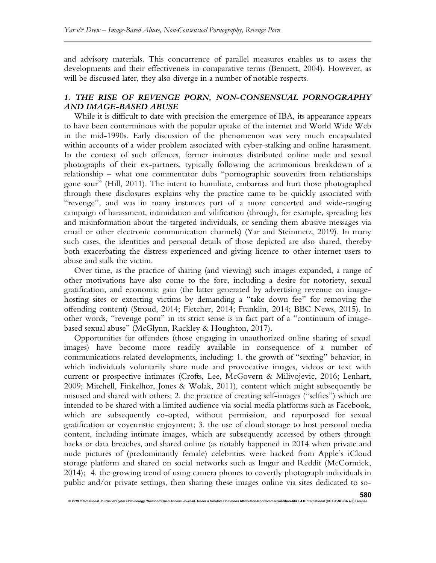and advisory materials. This concurrence of parallel measures enables us to assess the developments and their effectiveness in comparative terms (Bennett, 2004). However, as will be discussed later, they also diverge in a number of notable respects.

## 1. THE RISE OF REVENGE PORN, NON-CONSENSUAL PORNOGRAPHY AND IMAGE-BASED ABUSE

While it is difficult to date with precision the emergence of IBA, its appearance appears to have been conterminous with the popular uptake of the internet and World Wide Web in the mid-1990s. Early discussion of the phenomenon was very much encapsulated within accounts of a wider problem associated with cyber-stalking and online harassment. In the context of such offences, former intimates distributed online nude and sexual photographs of their ex-partners, typically following the acrimonious breakdown of a relationship – what one commentator dubs "pornographic souvenirs from relationships gone sour" (Hill, 2011). The intent to humiliate, embarrass and hurt those photographed through these disclosures explains why the practice came to be quickly associated with "revenge", and was in many instances part of a more concerted and wide-ranging campaign of harassment, intimidation and vilification (through, for example, spreading lies and misinformation about the targeted individuals, or sending them abusive messages via email or other electronic communication channels) (Yar and Steinmetz, 2019). In many such cases, the identities and personal details of those depicted are also shared, thereby both exacerbating the distress experienced and giving licence to other internet users to abuse and stalk the victim.

Over time, as the practice of sharing (and viewing) such images expanded, a range of other motivations have also come to the fore, including a desire for notoriety, sexual gratification, and economic gain (the latter generated by advertising revenue on imagehosting sites or extorting victims by demanding a "take down fee" for removing the offending content) (Stroud, 2014; Fletcher, 2014; Franklin, 2014; BBC News, 2015). In other words, "revenge porn" in its strict sense is in fact part of a "continuum of imagebased sexual abuse" (McGlynn, Rackley & Houghton, 2017).

Opportunities for offenders (those engaging in unauthorized online sharing of sexual images) have become more readily available in consequence of a number of communications-related developments, including: 1. the growth of "sexting" behavior, in which individuals voluntarily share nude and provocative images, videos or text with current or prospective intimates (Crofts, Lee, McGovern & Milivojevic, 2016; Lenhart, 2009; Mitchell, Finkelhor, Jones & Wolak, 2011), content which might subsequently be misused and shared with others; 2. the practice of creating self-images ("selfies") which are intended to be shared with a limited audience via social media platforms such as Facebook, which are subsequently co-opted, without permission, and repurposed for sexual gratification or voyeuristic enjoyment; 3. the use of cloud storage to host personal media content, including intimate images, which are subsequently accessed by others through hacks or data breaches, and shared online (as notably happened in 2014 when private and nude pictures of (predominantly female) celebrities were hacked from Apple's iCloud storage platform and shared on social networks such as Imgur and Reddit (McCormick, 2014); 4. the growing trend of using camera phones to covertly photograph individuals in public and/or private settings, then sharing these images online via sites dedicated to so-

© 2019 International Journal of Cyber Criminology (Diamond Open Access Journal). Under a Creative Comr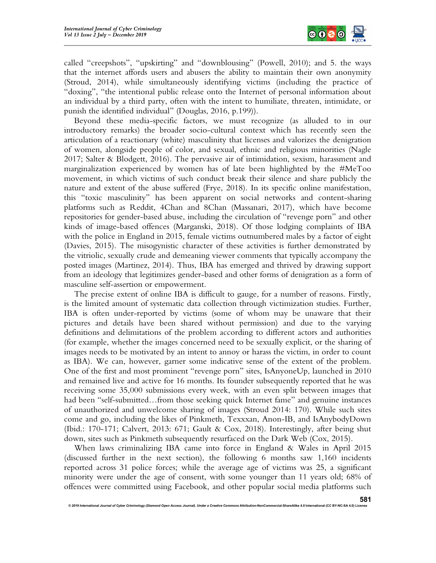

called "creepshots", "upskirting" and "downblousing" (Powell, 2010); and 5. the ways that the internet affords users and abusers the ability to maintain their own anonymity (Stroud, 2014), while simultaneously identifying victims (including the practice of "doxing", "the intentional public release onto the Internet of personal information about an individual by a third party, often with the intent to humiliate, threaten, intimidate, or punish the identified individual" (Douglas, 2016, p.199)).

Beyond these media-specific factors, we must recognize (as alluded to in our introductory remarks) the broader socio-cultural context which has recently seen the articulation of a reactionary (white) masculinity that licenses and valorizes the denigration of women, alongside people of color, and sexual, ethnic and religious minorities (Nagle 2017; Salter & Blodgett, 2016). The pervasive air of intimidation, sexism, harassment and marginalization experienced by women has of late been highlighted by the #MeToo movement, in which victims of such conduct break their silence and share publicly the nature and extent of the abuse suffered (Frye, 2018). In its specific online manifestation, this "toxic masculinity" has been apparent on social networks and content-sharing platforms such as Reddit, 4Chan and 8Chan (Massanari, 2017), which have become repositories for gender-based abuse, including the circulation of "revenge porn" and other kinds of image-based offences (Marganski, 2018). Of those lodging complaints of IBA with the police in England in 2015, female victims outnumbered males by a factor of eight (Davies, 2015). The misogynistic character of these activities is further demonstrated by the vitriolic, sexually crude and demeaning viewer comments that typically accompany the posted images (Martinez, 2014). Thus, IBA has emerged and thrived by drawing support from an ideology that legitimizes gender-based and other forms of denigration as a form of masculine self-assertion or empowerment.

The precise extent of online IBA is difficult to gauge, for a number of reasons. Firstly, is the limited amount of systematic data collection through victimization studies. Further, IBA is often under-reported by victims (some of whom may be unaware that their pictures and details have been shared without permission) and due to the varying definitions and delimitations of the problem according to different actors and authorities (for example, whether the images concerned need to be sexually explicit, or the sharing of images needs to be motivated by an intent to annoy or harass the victim, in order to count as IBA). We can, however, garner some indicative sense of the extent of the problem. One of the first and most prominent "revenge porn" sites, IsAnyoneUp, launched in 2010 and remained live and active for 16 months. Its founder subsequently reported that he was receiving some 35,000 submissions every week, with an even split between images that had been "self-submitted...from those seeking quick Internet fame" and genuine instances of unauthorized and unwelcome sharing of images (Stroud 2014: 170). While such sites come and go, including the likes of Pinkmeth, Texxxan, Anon-IB, and IsAnybodyDown (Ibid.: 170-171; Calvert, 2013: 671; Gault & Cox, 2018). Interestingly, after being shut down, sites such as Pinkmeth subsequently resurfaced on the Dark Web (Cox, 2015).

When laws criminalizing IBA came into force in England & Wales in April 2015 (discussed further in the next section), the following 6 months saw 1,160 incidents reported across 31 police forces; while the average age of victims was 25, a significant minority were under the age of consent, with some younger than 11 years old; 68% of offences were committed using Facebook, and other popular social media platforms such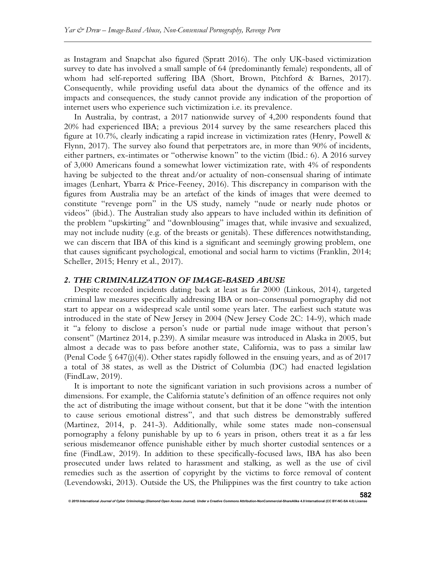as Instagram and Snapchat also figured (Spratt 2016). The only UK-based victimization survey to date has involved a small sample of 64 (predominantly female) respondents, all of whom had self-reported suffering IBA (Short, Brown, Pitchford & Barnes, 2017). Consequently, while providing useful data about the dynamics of the offence and its impacts and consequences, the study cannot provide any indication of the proportion of internet users who experience such victimization i.e. its prevalence.

In Australia, by contrast, a 2017 nationwide survey of 4,200 respondents found that 20% had experienced IBA; a previous 2014 survey by the same researchers placed this figure at 10.7%, clearly indicating a rapid increase in victimization rates (Henry, Powell & Flynn, 2017). The survey also found that perpetrators are, in more than 90% of incidents, either partners, ex-intimates or "otherwise known" to the victim (Ibid.: 6). A 2016 survey of 3,000 Americans found a somewhat lower victimization rate, with 4% of respondents having be subjected to the threat and/or actuality of non-consensual sharing of intimate images (Lenhart, Ybarra & Price-Feeney, 2016). This discrepancy in comparison with the figures from Australia may be an artefact of the kinds of images that were deemed to constitute "revenge porn" in the US study, namely "nude or nearly nude photos or videos" (ibid.). The Australian study also appears to have included within its definition of the problem "upskirting" and "downblousing" images that, while invasive and sexualized, may not include nudity (e.g. of the breasts or genitals). These differences notwithstanding, we can discern that IBA of this kind is a significant and seemingly growing problem, one that causes significant psychological, emotional and social harm to victims (Franklin, 2014; Scheller, 2015; Henry et al., 2017).

#### 2. THE CRIMINALIZATION OF IMAGE-BASED ABUSE

ed<br>International of Cyber Criminology (Diamond Open Access Journal). Under a Creative Commercial-ShareAlike 4.0 I

Despite recorded incidents dating back at least as far 2000 (Linkous, 2014), targeted criminal law measures specifically addressing IBA or non-consensual pornography did not start to appear on a widespread scale until some years later. The earliest such statute was introduced in the state of New Jersey in 2004 (New Jersey Code 2C: 14-9), which made it "a felony to disclose a person's nude or partial nude image without that person's consent" (Martinez 2014, p.239). A similar measure was introduced in Alaska in 2005, but almost a decade was to pass before another state, California, was to pass a similar law (Penal Code  $\S$  647(j)(4)). Other states rapidly followed in the ensuing years, and as of 2017 a total of 38 states, as well as the District of Columbia (DC) had enacted legislation (FindLaw, 2019).

It is important to note the significant variation in such provisions across a number of dimensions. For example, the California statute's definition of an offence requires not only the act of distributing the image without consent, but that it be done "with the intention to cause serious emotional distress", and that such distress be demonstrably suffered (Martinez, 2014, p. 241-3). Additionally, while some states made non-consensual pornography a felony punishable by up to 6 years in prison, others treat it as a far less serious misdemeanor offence punishable either by much shorter custodial sentences or a fine (FindLaw, 2019). In addition to these specifically-focused laws, IBA has also been prosecuted under laws related to harassment and stalking, as well as the use of civil remedies such as the assertion of copyright by the victims to force removal of content (Levendowski, 2013). Outside the US, the Philippines was the first country to take action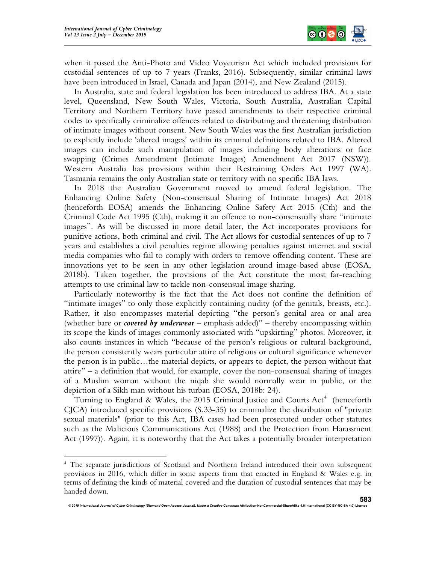

when it passed the Anti-Photo and Video Voyeurism Act which included provisions for custodial sentences of up to 7 years (Franks, 2016). Subsequently, similar criminal laws have been introduced in Israel, Canada and Japan (2014), and New Zealand (2015).

In Australia, state and federal legislation has been introduced to address IBA. At a state level, Queensland, New South Wales, Victoria, South Australia, Australian Capital Territory and Northern Territory have passed amendments to their respective criminal codes to specifically criminalize offences related to distributing and threatening distribution of intimate images without consent. New South Wales was the first Australian jurisdiction to explicitly include 'altered images' within its criminal definitions related to IBA. Altered images can include such manipulation of images including body alterations or face swapping (Crimes Amendment (Intimate Images) Amendment Act 2017 (NSW)). Western Australia has provisions within their Restraining Orders Act 1997 (WA). Tasmania remains the only Australian state or territory with no specific IBA laws.

In 2018 the Australian Government moved to amend federal legislation. The Enhancing Online Safety (Non-consensual Sharing of Intimate Images) Act 2018 (henceforth EOSA) amends the Enhancing Online Safety Act 2015 (Cth) and the Criminal Code Act 1995 (Cth), making it an offence to non-consensually share "intimate images". As will be discussed in more detail later, the Act incorporates provisions for punitive actions, both criminal and civil. The Act allows for custodial sentences of up to 7 years and establishes a civil penalties regime allowing penalties against internet and social media companies who fail to comply with orders to remove offending content. These are innovations yet to be seen in any other legislation around image-based abuse (EOSA, 2018b). Taken together, the provisions of the Act constitute the most far-reaching attempts to use criminal law to tackle non-consensual image sharing.

Particularly noteworthy is the fact that the Act does not confine the definition of "intimate images" to only those explicitly containing nudity (of the genitals, breasts, etc.). Rather, it also encompasses material depicting "the person's genital area or anal area (whether bare or *covered by underwear* – emphasis added)" – thereby encompassing within its scope the kinds of images commonly associated with "upskirting" photos. Moreover, it also counts instances in which "because of the person's religious or cultural background, the person consistently wears particular attire of religious or cultural significance whenever the person is in public…the material depicts, or appears to depict, the person without that attire" – a definition that would, for example, cover the non-consensual sharing of images of a Muslim woman without the niqab she would normally wear in public, or the depiction of a Sikh man without his turban (EOSA, 2018b: 24).

Turning to England & Wales, the 2015 Criminal Justice and Courts  $Act<sup>4</sup>$  (henceforth CJCA) introduced specific provisions (S.33-35) to criminalize the distribution of "private sexual materials" (prior to this Act, IBA cases had been prosecuted under other statutes such as the Malicious Communications Act (1988) and the Protection from Harassment Act (1997)). Again, it is noteworthy that the Act takes a potentially broader interpretation

<sup>&</sup>lt;sup>4</sup> The separate jurisdictions of Scotland and Northern Ireland introduced their own subsequent provisions in 2016, which differ in some aspects from that enacted in England & Wales e.g. in terms of defining the kinds of material covered and the duration of custodial sentences that may be handed down.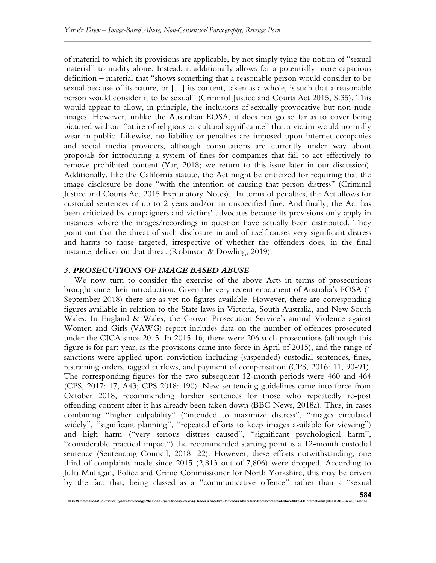of material to which its provisions are applicable, by not simply tying the notion of "sexual material" to nudity alone. Instead, it additionally allows for a potentially more capacious definition – material that "shows something that a reasonable person would consider to be sexual because of its nature, or […] its content, taken as a whole, is such that a reasonable person would consider it to be sexual" (Criminal Justice and Courts Act 2015, S.35). This would appear to allow, in principle, the inclusions of sexually provocative but non-nude images. However, unlike the Australian EOSA, it does not go so far as to cover being pictured without "attire of religious or cultural significance" that a victim would normally wear in public. Likewise, no liability or penalties are imposed upon internet companies and social media providers, although consultations are currently under way about proposals for introducing a system of fines for companies that fail to act effectively to remove prohibited content (Yar, 2018; we return to this issue later in our discussion). Additionally, like the California statute, the Act might be criticized for requiring that the image disclosure be done "with the intention of causing that person distress" (Criminal Justice and Courts Act 2015 Explanatory Notes). In terms of penalties, the Act allows for custodial sentences of up to 2 years and/or an unspecified fine. And finally, the Act has been criticized by campaigners and victims' advocates because its provisions only apply in instances where the images/recordings in question have actually been distributed. They point out that the threat of such disclosure in and of itself causes very significant distress and harms to those targeted, irrespective of whether the offenders does, in the final instance, deliver on that threat (Robinson & Dowling, 2019).

#### 3. PROSECUTIONS OF IMAGE BASED ABUSE

© 2019 International Journal of Cyber Criminology (Diamond Open Access Journal). Under a Creative Com

We now turn to consider the exercise of the above Acts in terms of prosecutions brought since their introduction. Given the very recent enactment of Australia's EOSA (1 September 2018) there are as yet no figures available. However, there are corresponding figures available in relation to the State laws in Victoria, South Australia, and New South Wales. In England & Wales, the Crown Prosecution Service's annual Violence against Women and Girls (VAWG) report includes data on the number of offences prosecuted under the CJCA since 2015. In 2015-16, there were 206 such prosecutions (although this figure is for part year, as the provisions came into force in April of 2015), and the range of sanctions were applied upon conviction including (suspended) custodial sentences, fines, restraining orders, tagged curfews, and payment of compensation (CPS, 2016: 11, 90-91). The corresponding figures for the two subsequent 12-month periods were 460 and 464 (CPS, 2017: 17, A43; CPS 2018: 190). New sentencing guidelines came into force from October 2018, recommending harsher sentences for those who repeatedly re-post offending content after it has already been taken down (BBC News, 2018a). Thus, in cases combining "higher culpability" ("intended to maximize distress", "images circulated widely", "significant planning", "repeated efforts to keep images available for viewing") and high harm ("very serious distress caused", "significant psychological harm", "considerable practical impact") the recommended starting point is a 12-month custodial sentence (Sentencing Council, 2018: 22). However, these efforts notwithstanding, one third of complaints made since 2015 (2,813 out of 7,806) were dropped. According to Julia Mulligan, Police and Crime Commissioner for North Yorkshire, this may be driven by the fact that, being classed as a "communicative offence" rather than a "sexual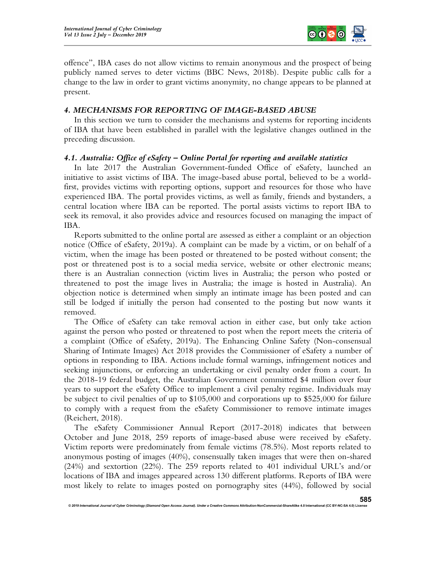

offence", IBA cases do not allow victims to remain anonymous and the prospect of being publicly named serves to deter victims (BBC News, 2018b). Despite public calls for a change to the law in order to grant victims anonymity, no change appears to be planned at present.

## 4. MECHANISMS FOR REPORTING OF IMAGE-BASED ABUSE

In this section we turn to consider the mechanisms and systems for reporting incidents of IBA that have been established in parallel with the legislative changes outlined in the preceding discussion.

## 4.1. Australia: Office of eSafety – Online Portal for reporting and available statistics

In late 2017 the Australian Government-funded Office of eSafety, launched an initiative to assist victims of IBA. The image-based abuse portal, believed to be a worldfirst, provides victims with reporting options, support and resources for those who have experienced IBA. The portal provides victims, as well as family, friends and bystanders, a central location where IBA can be reported. The portal assists victims to report IBA to seek its removal, it also provides advice and resources focused on managing the impact of IBA.

Reports submitted to the online portal are assessed as either a complaint or an objection notice (Office of eSafety, 2019a). A complaint can be made by a victim, or on behalf of a victim, when the image has been posted or threatened to be posted without consent; the post or threatened post is to a social media service, website or other electronic means; there is an Australian connection (victim lives in Australia; the person who posted or threatened to post the image lives in Australia; the image is hosted in Australia). An objection notice is determined when simply an intimate image has been posted and can still be lodged if initially the person had consented to the posting but now wants it removed.

The Office of eSafety can take removal action in either case, but only take action against the person who posted or threatened to post when the report meets the criteria of a complaint (Office of eSafety, 2019a). The Enhancing Online Safety (Non-consensual Sharing of Intimate Images) Act 2018 provides the Commissioner of eSafety a number of options in responding to IBA. Actions include formal warnings, infringement notices and seeking injunctions, or enforcing an undertaking or civil penalty order from a court. In the 2018-19 federal budget, the Australian Government committed \$4 million over four years to support the eSafety Office to implement a civil penalty regime. Individuals may be subject to civil penalties of up to \$105,000 and corporations up to \$525,000 for failure to comply with a request from the eSafety Commissioner to remove intimate images (Reichert, 2018).

The eSafety Commissioner Annual Report (2017-2018) indicates that between October and June 2018, 259 reports of image-based abuse were received by eSafety. Victim reports were predominately from female victims (78.5%). Most reports related to anonymous posting of images (40%), consensually taken images that were then on-shared (24%) and sextortion (22%). The 259 reports related to 401 individual URL's and/or locations of IBA and images appeared across 130 different platforms. Reports of IBA were most likely to relate to images posted on pornography sites (44%), followed by social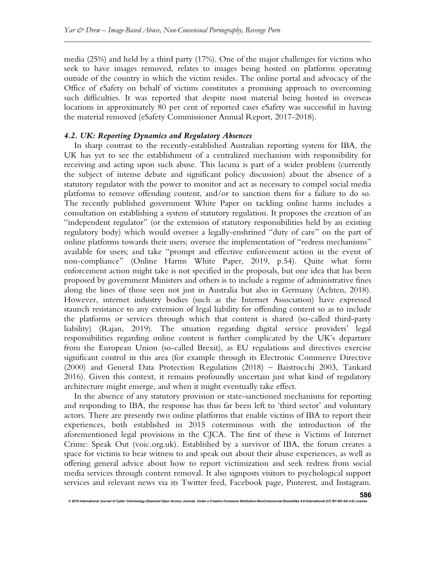media (25%) and held by a third party (17%). One of the major challenges for victims who seek to have images removed, relates to images being hosted on platforms operating outside of the country in which the victim resides. The online portal and advocacy of the Office of eSafety on behalf of victims constitutes a promising approach to overcoming such difficulties. It was reported that despite most material being hosted in overseas locations in approximately 80 per cent of reported cases eSafety was successful in having the material removed (eSafety Commissioner Annual Report, 2017-2018).

#### 4.2. UK: Reporting Dynamics and Regulatory Absences

In sharp contrast to the recently-established Australian reporting system for IBA, the UK has yet to see the establishment of a centralized mechanism with responsibility for receiving and acting upon such abuse. This lacuna is part of a wider problem (currently the subject of intense debate and significant policy discussion) about the absence of a statutory regulator with the power to monitor and act as necessary to compel social media platforms to remove offending content, and/or to sanction them for a failure to do so. The recently published government White Paper on tackling online harms includes a consultation on establishing a system of statutory regulation. It proposes the creation of an "independent regulator" (or the extension of statutory responsibilities held by an existing regulatory body) which would oversee a legally-enshrined "duty of care" on the part of online platforms towards their users; oversee the implementation of "redress mechanisms" available for users; and take "prompt and effective enforcement action in the event of non-compliance" (Online Harms White Paper, 2019, p.54). Quite what form enforcement action might take is not specified in the proposals, but one idea that has been proposed by government Ministers and others is to include a regime of administrative fines along the lines of those seen not just in Australia but also in Germany (Achten, 2018). However, internet industry bodies (such as the Internet Association) have expressed staunch resistance to any extension of legal liability for offending content so as to include the platforms or services through which that content is shared (so-called third-party liability) (Rajan, 2019). The situation regarding digital service providers' legal responsibilities regarding online content is further complicated by the UK's departure from the European Union (so-called Brexit), as EU regulations and directives exercise significant control in this area (for example through its Electronic Commerce Directive (2000) and General Data Protection Regulation (2018) – Baistrocchi 2003, Tankard 2016). Given this context, it remains profoundly uncertain just what kind of regulatory architecture might emerge, and when it might eventually take effect.

In the absence of any statutory provision or state-sanctioned mechanisms for reporting and responding to IBA, the response has thus far been left to 'third sector' and voluntary actors. There are presently two online platforms that enable victims of IBA to report their experiences, both established in 2015 coterminous with the introduction of the aforementioned legal provisions in the CJCA. The first of these is Victims of Internet Crime: Speak Out (voic.org.uk). Established by a survivor of IBA, the forum creates a space for victims to bear witness to and speak out about their abuse experiences, as well as offering general advice about how to report victimization and seek redress from social media services through content removal. It also signposts visitors to psychological support services and relevant news via its Twitter feed, Facebook page, Pinterest, and Instagram.

© 2019 International Journal of Cyber Criminology (Diamond Open Access Journal). Under a Creative Commons Attribution-NonCommercial-ShareAlike 4.0 International (CC BY-NC-SA 4.0)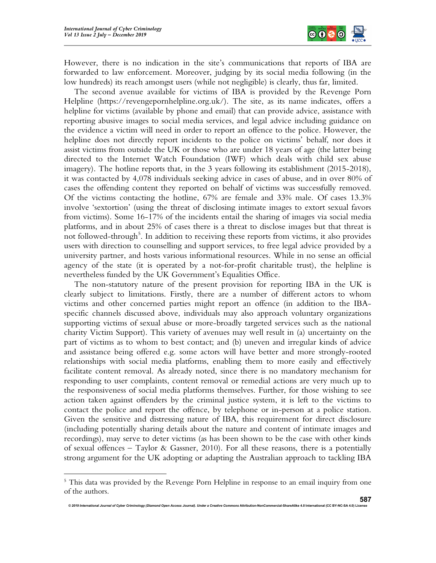

However, there is no indication in the site's communications that reports of IBA are forwarded to law enforcement. Moreover, judging by its social media following (in the low hundreds) its reach amongst users (while not negligible) is clearly, thus far, limited.

The second avenue available for victims of IBA is provided by the Revenge Porn Helpline (https://revengepornhelpline.org.uk/). The site, as its name indicates, offers a helpline for victims (available by phone and email) that can provide advice, assistance with reporting abusive images to social media services, and legal advice including guidance on the evidence a victim will need in order to report an offence to the police. However, the helpline does not directly report incidents to the police on victims' behalf, nor does it assist victims from outside the UK or those who are under 18 years of age (the latter being directed to the Internet Watch Foundation (IWF) which deals with child sex abuse imagery). The hotline reports that, in the 3 years following its establishment (2015-2018), it was contacted by 4,078 individuals seeking advice in cases of abuse, and in over 80% of cases the offending content they reported on behalf of victims was successfully removed. Of the victims contacting the hotline, 67% are female and 33% male. Of cases 13.3% involve 'sextortion' (using the threat of disclosing intimate images to extort sexual favors from victims). Some 16-17% of the incidents entail the sharing of images via social media platforms, and in about 25% of cases there is a threat to disclose images but that threat is not followed-through<sup>5</sup>. In addition to receiving these reports from victims, it also provides users with direction to counselling and support services, to free legal advice provided by a university partner, and hosts various informational resources. While in no sense an official agency of the state (it is operated by a not-for-profit charitable trust), the helpline is nevertheless funded by the UK Government's Equalities Office.

The non-statutory nature of the present provision for reporting IBA in the UK is clearly subject to limitations. Firstly, there are a number of different actors to whom victims and other concerned parties might report an offence (in addition to the IBAspecific channels discussed above, individuals may also approach voluntary organizations supporting victims of sexual abuse or more-broadly targeted services such as the national charity Victim Support). This variety of avenues may well result in (a) uncertainty on the part of victims as to whom to best contact; and (b) uneven and irregular kinds of advice and assistance being offered e.g. some actors will have better and more strongly-rooted relationships with social media platforms, enabling them to more easily and effectively facilitate content removal. As already noted, since there is no mandatory mechanism for responding to user complaints, content removal or remedial actions are very much up to the responsiveness of social media platforms themselves. Further, for those wishing to see action taken against offenders by the criminal justice system, it is left to the victims to contact the police and report the offence, by telephone or in-person at a police station. Given the sensitive and distressing nature of IBA, this requirement for direct disclosure (including potentially sharing details about the nature and content of intimate images and recordings), may serve to deter victims (as has been shown to be the case with other kinds of sexual offences – Taylor & Gassner, 2010). For all these reasons, there is a potentially strong argument for the UK adopting or adapting the Australian approach to tackling IBA

<sup>&</sup>lt;sup>5</sup> This data was provided by the Revenge Porn Helpline in response to an email inquiry from one of the authors.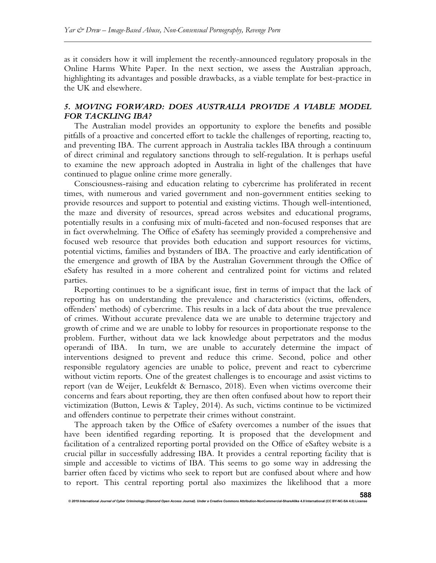as it considers how it will implement the recently-announced regulatory proposals in the Online Harms White Paper. In the next section, we assess the Australian approach, highlighting its advantages and possible drawbacks, as a viable template for best-practice in the UK and elsewhere.

# 5. MOVING FORWARD: DOES AUSTRALIA PROVIDE A VIABLE MODEL FOR TACKLING IBA?

The Australian model provides an opportunity to explore the benefits and possible pitfalls of a proactive and concerted effort to tackle the challenges of reporting, reacting to, and preventing IBA. The current approach in Australia tackles IBA through a continuum of direct criminal and regulatory sanctions through to self-regulation. It is perhaps useful to examine the new approach adopted in Australia in light of the challenges that have continued to plague online crime more generally.

Consciousness-raising and education relating to cybercrime has proliferated in recent times, with numerous and varied government and non-government entities seeking to provide resources and support to potential and existing victims. Though well-intentioned, the maze and diversity of resources, spread across websites and educational programs, potentially results in a confusing mix of multi-faceted and non-focused responses that are in fact overwhelming. The Office of eSafety has seemingly provided a comprehensive and focused web resource that provides both education and support resources for victims, potential victims, families and bystanders of IBA. The proactive and early identification of the emergence and growth of IBA by the Australian Government through the Office of eSafety has resulted in a more coherent and centralized point for victims and related parties.

Reporting continues to be a significant issue, first in terms of impact that the lack of reporting has on understanding the prevalence and characteristics (victims, offenders, offenders' methods) of cybercrime. This results in a lack of data about the true prevalence of crimes. Without accurate prevalence data we are unable to determine trajectory and growth of crime and we are unable to lobby for resources in proportionate response to the problem. Further, without data we lack knowledge about perpetrators and the modus operandi of IBA. In turn, we are unable to accurately determine the impact of interventions designed to prevent and reduce this crime. Second, police and other responsible regulatory agencies are unable to police, prevent and react to cybercrime without victim reports. One of the greatest challenges is to encourage and assist victims to report (van de Weijer, Leukfeldt & Bernasco, 2018). Even when victims overcome their concerns and fears about reporting, they are then often confused about how to report their victimization (Button, Lewis & Tapley, 2014). As such, victims continue to be victimized and offenders continue to perpetrate their crimes without constraint.

The approach taken by the Office of eSafety overcomes a number of the issues that have been identified regarding reporting. It is proposed that the development and facilitation of a centralized reporting portal provided on the Office of eSaftey website is a crucial pillar in successfully addressing IBA. It provides a central reporting facility that is simple and accessible to victims of IBA. This seems to go some way in addressing the barrier often faced by victims who seek to report but are confused about where and how to report. This central reporting portal also maximizes the likelihood that a more

© 2019 International Journal of Cyber Criminology (Diamond Open Access Journal). Under a Creative Comn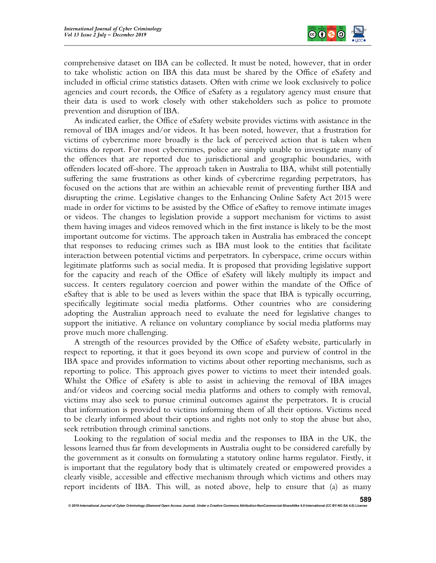

comprehensive dataset on IBA can be collected. It must be noted, however, that in order to take wholistic action on IBA this data must be shared by the Office of eSafety and included in official crime statistics datasets. Often with crime we look exclusively to police agencies and court records, the Office of eSafety as a regulatory agency must ensure that their data is used to work closely with other stakeholders such as police to promote prevention and disruption of IBA.

As indicated earlier, the Office of eSafety website provides victims with assistance in the removal of IBA images and/or videos. It has been noted, however, that a frustration for victims of cybercrime more broadly is the lack of perceived action that is taken when victims do report. For most cybercrimes, police are simply unable to investigate many of the offences that are reported due to jurisdictional and geographic boundaries, with offenders located off-shore. The approach taken in Australia to IBA, whilst still potentially suffering the same frustrations as other kinds of cybercrime regarding perpetrators, has focused on the actions that are within an achievable remit of preventing further IBA and disrupting the crime. Legislative changes to the Enhancing Online Safety Act 2015 were made in order for victims to be assisted by the Office of eSaftey to remove intimate images or videos. The changes to legislation provide a support mechanism for victims to assist them having images and videos removed which in the first instance is likely to be the most important outcome for victims. The approach taken in Australia has embraced the concept that responses to reducing crimes such as IBA must look to the entities that facilitate interaction between potential victims and perpetrators. In cyberspace, crime occurs within legitimate platforms such as social media. It is proposed that providing legislative support for the capacity and reach of the Office of eSafety will likely multiply its impact and success. It centers regulatory coercion and power within the mandate of the Office of eSaftey that is able to be used as levers within the space that IBA is typically occurring, specifically legitimate social media platforms. Other countries who are considering adopting the Australian approach need to evaluate the need for legislative changes to support the initiative. A reliance on voluntary compliance by social media platforms may prove much more challenging.

A strength of the resources provided by the Office of eSafety website, particularly in respect to reporting, it that it goes beyond its own scope and purview of control in the IBA space and provides information to victims about other reporting mechanisms, such as reporting to police. This approach gives power to victims to meet their intended goals. Whilst the Office of eSafety is able to assist in achieving the removal of IBA images and/or videos and coercing social media platforms and others to comply with removal, victims may also seek to pursue criminal outcomes against the perpetrators. It is crucial that information is provided to victims informing them of all their options. Victims need to be clearly informed about their options and rights not only to stop the abuse but also, seek retribution through criminal sanctions.

Looking to the regulation of social media and the responses to IBA in the UK, the lessons learned thus far from developments in Australia ought to be considered carefully by the government as it consults on formulating a statutory online harms regulator. Firstly, it is important that the regulatory body that is ultimately created or empowered provides a clearly visible, accessible and effective mechanism through which victims and others may report incidents of IBA. This will, as noted above, help to ensure that (a) as many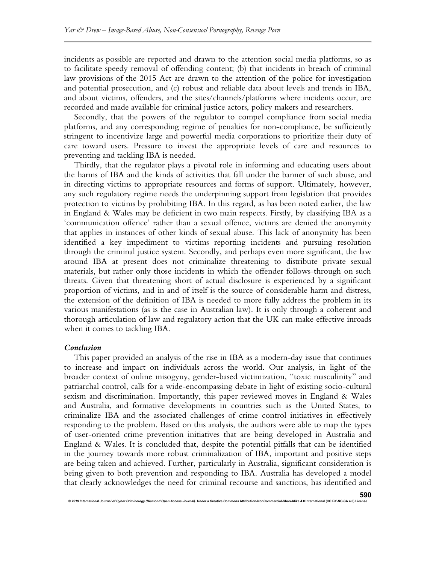incidents as possible are reported and drawn to the attention social media platforms, so as to facilitate speedy removal of offending content; (b) that incidents in breach of criminal law provisions of the 2015 Act are drawn to the attention of the police for investigation and potential prosecution, and (c) robust and reliable data about levels and trends in IBA, and about victims, offenders, and the sites/channels/platforms where incidents occur, are recorded and made available for criminal justice actors, policy makers and researchers.

Secondly, that the powers of the regulator to compel compliance from social media platforms, and any corresponding regime of penalties for non-compliance, be sufficiently stringent to incentivize large and powerful media corporations to prioritize their duty of care toward users. Pressure to invest the appropriate levels of care and resources to preventing and tackling IBA is needed.

Thirdly, that the regulator plays a pivotal role in informing and educating users about the harms of IBA and the kinds of activities that fall under the banner of such abuse, and in directing victims to appropriate resources and forms of support. Ultimately, however, any such regulatory regime needs the underpinning support from legislation that provides protection to victims by prohibiting IBA. In this regard, as has been noted earlier, the law in England & Wales may be deficient in two main respects. Firstly, by classifying IBA as a 'communication offence' rather than a sexual offence, victims are denied the anonymity that applies in instances of other kinds of sexual abuse. This lack of anonymity has been identified a key impediment to victims reporting incidents and pursuing resolution through the criminal justice system. Secondly, and perhaps even more significant, the law around IBA at present does not criminalize threatening to distribute private sexual materials, but rather only those incidents in which the offender follows-through on such threats. Given that threatening short of actual disclosure is experienced by a significant proportion of victims, and in and of itself is the source of considerable harm and distress, the extension of the definition of IBA is needed to more fully address the problem in its various manifestations (as is the case in Australian law). It is only through a coherent and thorough articulation of law and regulatory action that the UK can make effective inroads when it comes to tackling IBA.

#### Conclusion

This paper provided an analysis of the rise in IBA as a modern-day issue that continues to increase and impact on individuals across the world. Our analysis, in light of the broader context of online misogyny, gender-based victimization, "toxic masculinity" and patriarchal control, calls for a wide-encompassing debate in light of existing socio-cultural sexism and discrimination. Importantly, this paper reviewed moves in England & Wales and Australia, and formative developments in countries such as the United States, to criminalize IBA and the associated challenges of crime control initiatives in effectively responding to the problem. Based on this analysis, the authors were able to map the types of user-oriented crime prevention initiatives that are being developed in Australia and England & Wales. It is concluded that, despite the potential pitfalls that can be identified in the journey towards more robust criminalization of IBA, important and positive steps are being taken and achieved. Further, particularly in Australia, significant consideration is being given to both prevention and responding to IBA. Australia has developed a model that clearly acknowledges the need for criminal recourse and sanctions, has identified and

© 2019 International Journal of Cyber Criminology (Diamond Open Access Journal). Under a Creative Commons Attribution-NonCommercial-ShareAlike 4.0 International (CC BY-NC-SA 4.0) License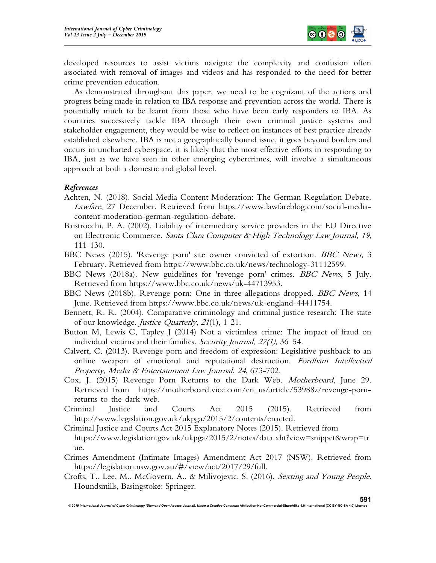

developed resources to assist victims navigate the complexity and confusion often associated with removal of images and videos and has responded to the need for better crime prevention education.

As demonstrated throughout this paper, we need to be cognizant of the actions and progress being made in relation to IBA response and prevention across the world. There is potentially much to be learnt from those who have been early responders to IBA. As countries successively tackle IBA through their own criminal justice systems and stakeholder engagement, they would be wise to reflect on instances of best practice already established elsewhere. IBA is not a geographically bound issue, it goes beyond borders and occurs in uncharted cyberspace, it is likely that the most effective efforts in responding to IBA, just as we have seen in other emerging cybercrimes, will involve a simultaneous approach at both a domestic and global level.

# References

- Achten, N. (2018). Social Media Content Moderation: The German Regulation Debate. Lawfare, 27 December. Retrieved from https://www.lawfareblog.com/social-mediacontent-moderation-german-regulation-debate.
- Baistrocchi, P. A. (2002). Liability of intermediary service providers in the EU Directive on Electronic Commerce. Santa Clara Computer & High Technology Law Journal, 19, 111-130.
- BBC News (2015). 'Revenge porn' site owner convicted of extortion. *BBC News*, 3 February. Retrieved from https://www.bbc.co.uk/news/technology-31112599.
- BBC News (2018a). New guidelines for 'revenge porn' crimes. BBC News, 5 July. Retrieved from https://www.bbc.co.uk/news/uk-44713953.
- BBC News (2018b). Revenge porn: One in three allegations dropped. BBC News, 14 June. Retrieved from https://www.bbc.co.uk/news/uk-england-44411754.
- Bennett, R. R. (2004). Comparative criminology and criminal justice research: The state of our knowledge. Justice Quarterly, 21(1), 1-21.
- Button M, Lewis C, Tapley J (2014) Not a victimless crime: The impact of fraud on individual victims and their families. Security Journal, 27(1), 36–54.
- Calvert, C. (2013). Revenge porn and freedom of expression: Legislative pushback to an online weapon of emotional and reputational destruction. Fordham Intellectual Property, Media & Entertainment Law Journal, 24, 673-702.
- Cox, J. (2015) Revenge Porn Returns to the Dark Web. Motherboard, June 29. Retrieved from https://motherboard.vice.com/en\_us/article/53988z/revenge-pornreturns-to-the-dark-web.
- Criminal Justice and Courts Act 2015 (2015). Retrieved from http://www.legislation.gov.uk/ukpga/2015/2/contents/enacted.
- Criminal Justice and Courts Act 2015 Explanatory Notes (2015). Retrieved from https://www.legislation.gov.uk/ukpga/2015/2/notes/data.xht?view=snippet&wrap=tr ue.
- Crimes Amendment (Intimate Images) Amendment Act 2017 (NSW). Retrieved from https://legislation.nsw.gov.au/#/view/act/2017/29/full.
- Crofts, T., Lee, M., McGovern, A., & Milivojevic, S. (2016). Sexting and Young People. Houndsmills, Basingstoke: Springer.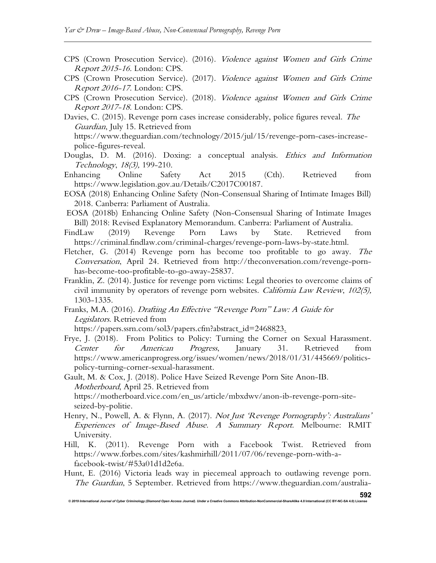- CPS (Crown Prosecution Service). (2016). Violence against Women and Girls Crime Report 2015-16. London: CPS.
- CPS (Crown Prosecution Service). (2017). Violence against Women and Girls Crime Report 2016-17. London: CPS.
- CPS (Crown Prosecution Service). (2018). Violence against Women and Girls Crime Report 2017-18. London: CPS.
- Davies, C. (2015). Revenge porn cases increase considerably, police figures reveal. The Guardian, July 15. Retrieved from https://www.theguardian.com/technology/2015/jul/15/revenge-porn-cases-increasepolice-figures-reveal.
- Douglas, D. M. (2016). Doxing: a conceptual analysis. *Ethics and Information* Technology, 18(3), 199-210.
- Enhancing Online Safety Act 2015 (Cth). Retrieved from https://www.legislation.gov.au/Details/C2017C00187.
- EOSA (2018) Enhancing Online Safety (Non-Consensual Sharing of Intimate Images Bill) 2018. Canberra: Parliament of Australia.
- EOSA (2018b) Enhancing Online Safety (Non-Consensual Sharing of Intimate Images Bill) 2018: Revised Explanatory Memorandum. Canberra: Parliament of Australia.
- FindLaw (2019) Revenge Porn Laws by State. Retrieved from https://criminal.findlaw.com/criminal-charges/revenge-porn-laws-by-state.html.
- Fletcher, G. (2014) Revenge porn has become too profitable to go away. The Conversation, April 24. Retrieved from http://theconversation.com/revenge-pornhas-become-too-profitable-to-go-away-25837.
- Franklin, Z. (2014). Justice for revenge porn victims: Legal theories to overcome claims of civil immunity by operators of revenge porn websites. California Law Review, 102(5), 1303-1335.
- Franks, M.A. (2016). Drafting An Effective "Revenge Porn" Law: A Guide for Legislators. Retrieved from
	- https://papers.ssrn.com/sol3/papers.cfm?abstract\_id=2468823.
- Frye, J. (2018). From Politics to Policy: Turning the Corner on Sexual Harassment. Center for American Progress, January 31. Retrieved from https://www.americanprogress.org/issues/women/news/2018/01/31/445669/politicspolicy-turning-corner-sexual-harassment.

Gault, M. & Cox, J. (2018). Police Have Seized Revenge Porn Site Anon-IB. Motherboard, April 25. Retrieved from https://motherboard.vice.com/en\_us/article/mbxdwv/anon-ib-revenge-porn-siteseized-by-politie.

- Henry, N., Powell, A. & Flynn, A. (2017). Not Just 'Revenge Pornography': Australians' Experiences of Image-Based Abuse. A Summary Report. Melbourne: RMIT University.
- Hill, K. (2011). Revenge Porn with a Facebook Twist. Retrieved from https://www.forbes.com/sites/kashmirhill/2011/07/06/revenge-porn-with-afacebook-twist/#53a01d1d2e6a.
- Hunt, E. (2016) Victoria leads way in piecemeal approach to outlawing revenge porn. The Guardian, 5 September. Retrieved from https://www.theguardian.com/australia-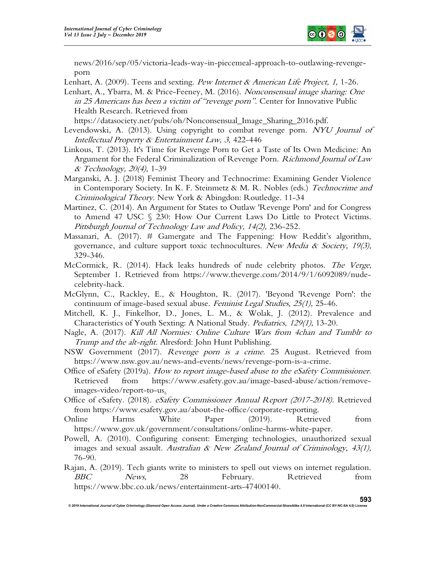

news/2016/sep/05/victoria-leads-way-in-piecemeal-approach-to-outlawing-revengeporn

Lenhart, A. (2009). Teens and sexting. Pew Internet & American Life Project, 1, 1-26.

Lenhart, A., Ybarra, M. & Price-Feeney, M. (2016). Nonconsensual image sharing: One in 25 Americans has been a victim of "revenge porn". Center for Innovative Public Health Research. Retrieved from

https://datasociety.net/pubs/oh/Nonconsensual\_Image\_Sharing\_2016.pdf.

- Levendowski, A. (2013). Using copyright to combat revenge porn. NYU Journal of Intellectual Property & Entertainment Law, 3, 422-446
- Linkous, T. (2013). It's Time for Revenge Porn to Get a Taste of Its Own Medicine: An Argument for the Federal Criminalization of Revenge Porn. *Richmond Journal of Law* & Technology, 20(4), 1-39
- Marganski, A. J. (2018) Feminist Theory and Technocrime: Examining Gender Violence in Contemporary Society. In K. F. Steinmetz & M. R. Nobles (eds.) Technocrime and Criminological Theory. New York & Abingdon: Routledge. 11-34
- Martinez, C. (2014). An Argument for States to Outlaw 'Revenge Porn' and for Congress to Amend 47 USC § 230: How Our Current Laws Do Little to Protect Victims. Pittsburgh Journal of Technology Law and Policy, 14(2), 236-252.
- Massanari, A. (2017). # Gamergate and The Fappening: How Reddit's algorithm, governance, and culture support toxic technocultures. New Media & Society, 19(3), 329-346.
- McCormick, R. (2014). Hack leaks hundreds of nude celebrity photos. The Verge, September 1. Retrieved from https://www.theverge.com/2014/9/1/6092089/nudecelebrity-hack.
- McGlynn, C., Rackley, E., & Houghton, R. (2017). 'Beyond 'Revenge Porn': the continuum of image-based sexual abuse. Feminist Legal Studies, 25(1), 25-46.
- Mitchell, K. J., Finkelhor, D., Jones, L. M., & Wolak, J. (2012). Prevalence and Characteristics of Youth Sexting: A National Study. Pediatrics, 129(1), 13-20.
- Nagle, A. (2017). Kill All Normies: Online Culture Wars from 4chan and Tumblr to Trump and the alt-right. Alresford: John Hunt Publishing.
- NSW Government (2017). Revenge porn is a crime. 25 August. Retrieved from https://www.nsw.gov.au/news-and-events/news/revenge-porn-is-a-crime.
- Office of eSafety (2019a). How to report image-based abuse to the eSafety Commissioner. Retrieved from https://www.esafety.gov.au/image-based-abuse/action/removeimages-video/report-to-us.
- Office of eSafety. (2018). eSafety Commissioner Annual Report (2017-2018). Retrieved from https://www.esafety.gov.au/about-the-office/corporate-reporting.
- Online Harms White Paper (2019). Retrieved from https://www.gov.uk/government/consultations/online-harms-white-paper.
- Powell, A. (2010). Configuring consent: Emerging technologies, unauthorized sexual images and sexual assault. Australian & New Zealand Journal of Criminology,  $43(1)$ , 76-90.
- Rajan, A. (2019). Tech giants write to ministers to spell out views on internet regulation. BBC News, 28 February. Retrieved from https://www.bbc.co.uk/news/entertainment-arts-47400140.